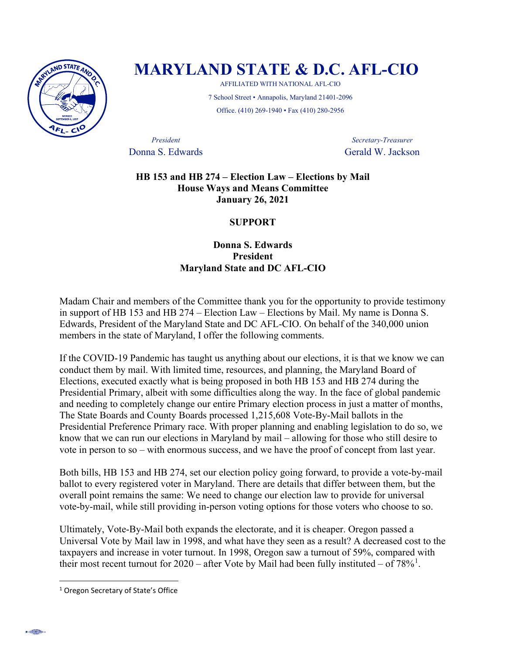

## **MARYLAND STATE & D.C. AFL-CIO**

AFFILIATED WITH NATIONAL AFL-CIO 7 School Street • Annapolis, Maryland 21401-2096 Office. (410) 269-1940 • Fax (410) 280-2956

*President Secretary-Treasurer* **Donna S. Edwards Gerald W. Jackson** 

## **HB 153 and HB 274 – Election Law – Elections by Mail House Ways and Means Committee January 26, 2021**

## **SUPPORT**

**Donna S. Edwards President Maryland State and DC AFL-CIO** 

Madam Chair and members of the Committee thank you for the opportunity to provide testimony in support of HB 153 and HB 274 – Election Law – Elections by Mail. My name is Donna S. Edwards, President of the Maryland State and DC AFL-CIO. On behalf of the 340,000 union members in the state of Maryland, I offer the following comments.

If the COVID-19 Pandemic has taught us anything about our elections, it is that we know we can conduct them by mail. With limited time, resources, and planning, the Maryland Board of Elections, executed exactly what is being proposed in both HB 153 and HB 274 during the Presidential Primary, albeit with some difficulties along the way. In the face of global pandemic and needing to completely change our entire Primary election process in just a matter of months, The State Boards and County Boards processed 1,215,608 Vote-By-Mail ballots in the Presidential Preference Primary race. With proper planning and enabling legislation to do so, we know that we can run our elections in Maryland by mail – allowing for those who still desire to vote in person to so – with enormous success, and we have the proof of concept from last year.

Both bills, HB 153 and HB 274, set our election policy going forward, to provide a vote-by-mail ballot to every registered voter in Maryland. There are details that differ between them, but the overall point remains the same: We need to change our election law to provide for universal vote-by-mail, while still providing in-person voting options for those voters who choose to so.

Ultimately, Vote-By-Mail both expands the electorate, and it is cheaper. Oregon passed a Universal Vote by Mail law in 1998, and what have they seen as a result? A decreased cost to the taxpayers and increase in voter turnout. In 1998, Oregon saw a turnout of 59%, compared with their most recent turnout for  $2020$  – after Vote by Mail had been fully instituted – of  $78\%$ <sup>[1](#page-0-0)</sup>.

<span id="page-0-0"></span><sup>&</sup>lt;sup>1</sup> Oregon Secretary of State's Office